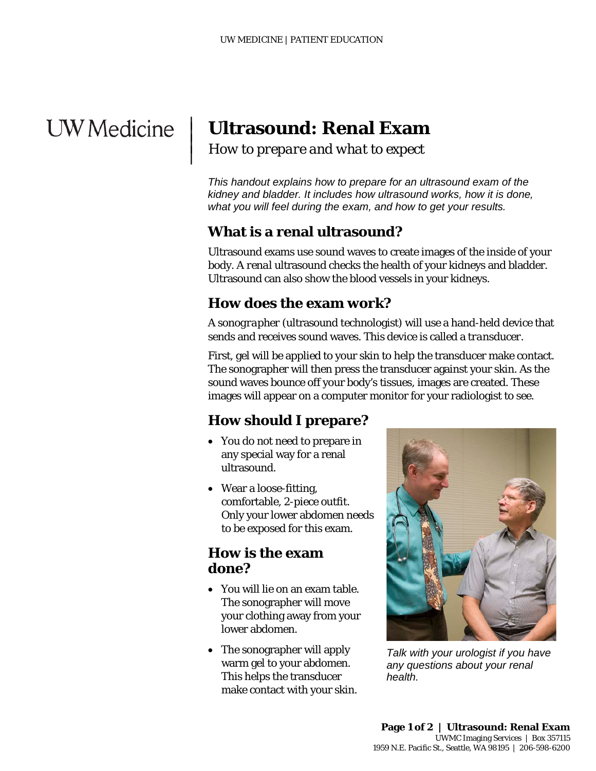# **UW** Medicine

|  $\vert$  $\vert$  $\vert$ 

# **Ultrasound: Renal Exam**

*How to prepare and what to expect*

*This handout explains how to prepare for an ultrasound exam of the kidney and bladder. It includes how ultrasound works, how it is done, what you will feel during the exam, and how to get your results.* 

# **What is a renal ultrasound?**

Ultrasound exams use sound waves to create images of the inside of your body. A *renal* ultrasound checks the health of your kidneys and bladder. Ultrasound can also show the blood vessels in your kidneys.

## **How does the exam work?**

A *sonographer* (ultrasound technologist) will use a hand-held device that sends and receives sound waves. This device is called a *transducer.*

First, gel will be applied to your skin to help the transducer make contact. The sonographer will then press the transducer against your skin. As the sound waves bounce off your body's tissues, images are created. These images will appear on a computer monitor for your radiologist to see.

# **How should I prepare?**

- You do not need to prepare in any special way for a renal ultrasound.
- Wear a loose-fitting, comfortable, 2-piece outfit. Only your lower abdomen needs to be exposed for this exam.

#### **How is the exam done?**

- You will lie on an exam table. The sonographer will move your clothing away from your lower abdomen.
- The sonographer will apply warm gel to your abdomen. This helps the transducer make contact with your skin.

\_\_\_\_\_\_\_\_\_\_\_\_\_\_\_\_\_\_\_\_\_\_\_\_\_\_\_\_\_\_\_\_\_\_\_\_\_\_\_\_\_\_\_\_\_\_\_\_\_\_\_\_\_\_\_\_\_\_\_\_\_\_\_\_\_\_\_\_\_\_\_\_\_\_\_\_\_\_\_\_\_\_\_\_\_\_\_\_\_\_\_\_\_



*Talk with your urologist if you have any questions about your renal health.*